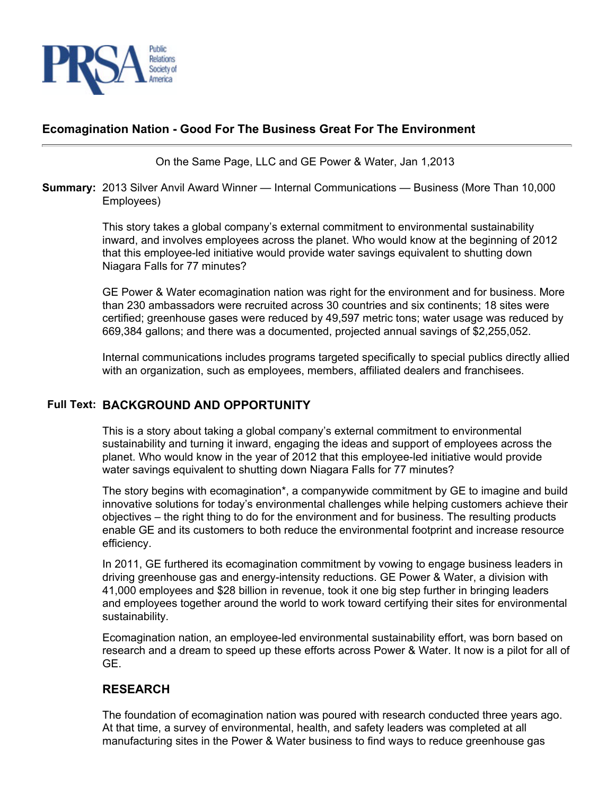

## **Ecomagination Nation - Good For The Business Great For The Environment**

On the Same Page, LLC and GE Power & Water, Jan 1,2013

#### **Summary:** 2013 Silver Anvil Award Winner — Internal Communications — Business (More Than 10,000 Employees)

This story takes a global company's external commitment to environmental sustainability inward, and involves employees across the planet. Who would know at the beginning of 2012 that this employee-led initiative would provide water savings equivalent to shutting down Niagara Falls for 77 minutes?

GE Power & Water ecomagination nation was right for the environment and for business. More than 230 ambassadors were recruited across 30 countries and six continents; 18 sites were certified; greenhouse gases were reduced by 49,597 metric tons; water usage was reduced by 669,384 gallons; and there was a documented, projected annual savings of \$2,255,052.

Internal communications includes programs targeted specifically to special publics directly allied with an organization, such as employees, members, affiliated dealers and franchisees.

### **Full Text: BACKGROUND AND OPPORTUNITY**

This is a story about taking a global company's external commitment to environmental sustainability and turning it inward, engaging the ideas and support of employees across the planet. Who would know in the year of 2012 that this employee-led initiative would provide water savings equivalent to shutting down Niagara Falls for 77 minutes?

The story begins with ecomagination\*, a companywide commitment by GE to imagine and build innovative solutions for today's environmental challenges while helping customers achieve their objectives – the right thing to do for the environment and for business. The resulting products enable GE and its customers to both reduce the environmental footprint and increase resource efficiency.

In 2011, GE furthered its ecomagination commitment by vowing to engage business leaders in driving greenhouse gas and energy-intensity reductions. GE Power & Water, a division with 41,000 employees and \$28 billion in revenue, took it one big step further in bringing leaders and employees together around the world to work toward certifying their sites for environmental sustainability.

Ecomagination nation, an employee-led environmental sustainability effort, was born based on research and a dream to speed up these efforts across Power & Water. It now is a pilot for all of GE.

### **RESEARCH**

The foundation of ecomagination nation was poured with research conducted three years ago. At that time, a survey of environmental, health, and safety leaders was completed at all manufacturing sites in the Power & Water business to find ways to reduce greenhouse gas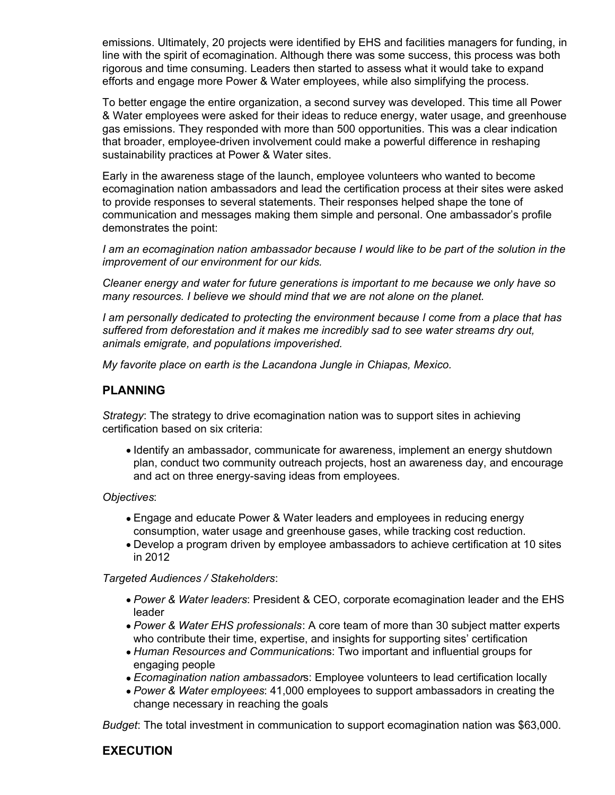emissions. Ultimately, 20 projects were identified by EHS and facilities managers for funding, in line with the spirit of ecomagination. Although there was some success, this process was both rigorous and time consuming. Leaders then started to assess what it would take to expand efforts and engage more Power & Water employees, while also simplifying the process.

To better engage the entire organization, a second survey was developed. This time all Power & Water employees were asked for their ideas to reduce energy, water usage, and greenhouse gas emissions. They responded with more than 500 opportunities. This was a clear indication that broader, employee-driven involvement could make a powerful difference in reshaping sustainability practices at Power & Water sites.

Early in the awareness stage of the launch, employee volunteers who wanted to become ecomagination nation ambassadors and lead the certification process at their sites were asked to provide responses to several statements. Their responses helped shape the tone of communication and messages making them simple and personal. One ambassador's profile demonstrates the point:

*I am an ecomagination nation ambassador because I would like to be part of the solution in the improvement of our environment for our kids.*

*Cleaner energy and water for future generations is important to me because we only have so many resources. I believe we should mind that we are not alone on the planet.*

*I am personally dedicated to protecting the environment because I come from a place that has suffered from deforestation and it makes me incredibly sad to see water streams dry out, animals emigrate, and populations impoverished.*

*My favorite place on earth is the Lacandona Jungle in Chiapas, Mexico.*

### **PLANNING**

*Strategy*: The strategy to drive ecomagination nation was to support sites in achieving certification based on six criteria:

Identify an ambassador, communicate for awareness, implement an energy shutdown plan, conduct two community outreach projects, host an awareness day, and encourage and act on three energy-saving ideas from employees.

*Objectives*:

- Engage and educate Power & Water leaders and employees in reducing energy consumption, water usage and greenhouse gases, while tracking cost reduction.
- Develop a program driven by employee ambassadors to achieve certification at 10 sites in 2012

*Targeted Audiences / Stakeholders*:

- *Power & Water leaders*: President & CEO, corporate ecomagination leader and the EHS leader
- *Power & Water EHS professionals*: A core team of more than 30 subject matter experts who contribute their time, expertise, and insights for supporting sites' certification
- *Human Resources and Communication*s: Two important and influential groups for engaging people
- *Ecomagination nation ambassador*s: Employee volunteers to lead certification locally
- *Power & Water employees*: 41,000 employees to support ambassadors in creating the change necessary in reaching the goals

*Budget*: The total investment in communication to support ecomagination nation was \$63,000.

### **EXECUTION**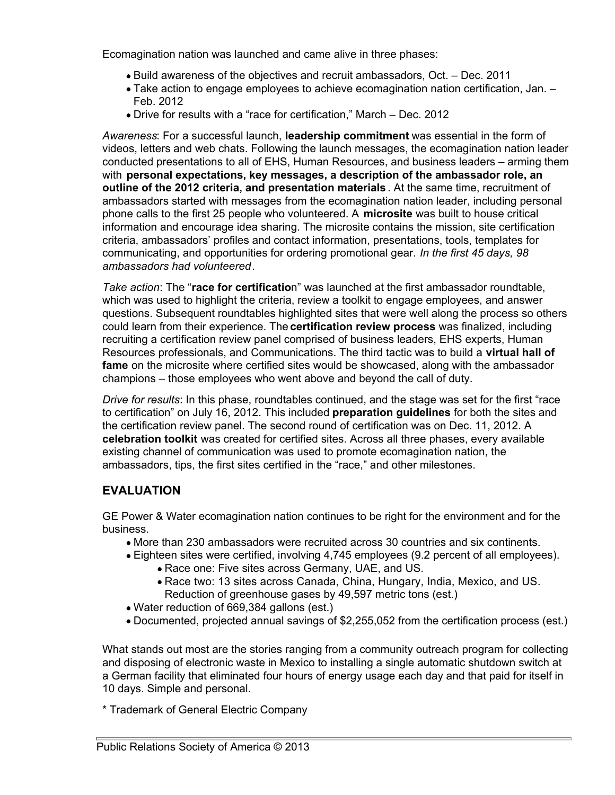Ecomagination nation was launched and came alive in three phases:

- Build awareness of the objectives and recruit ambassadors, Oct. Dec. 2011
- Take action to engage employees to achieve ecomagination nation certification, Jan. Feb. 2012
- Drive for results with a "race for certification," March Dec. 2012

*Awareness*: For a successful launch, **leadership commitment** was essential in the form of videos, letters and web chats. Following the launch messages, the ecomagination nation leader conducted presentations to all of EHS, Human Resources, and business leaders – arming them with **personal expectations, key messages, a description of the ambassador role, an outline of the 2012 criteria, and presentation materials** . At the same time, recruitment of ambassadors started with messages from the ecomagination nation leader, including personal phone calls to the first 25 people who volunteered. A **microsite** was built to house critical information and encourage idea sharing. The microsite contains the mission, site certification criteria, ambassadors' profiles and contact information, presentations, tools, templates for communicating, and opportunities for ordering promotional gear. *In the first 45 days, 98 ambassadors had volunteered*.

*Take action*: The "**race for certificatio**n" was launched at the first ambassador roundtable, which was used to highlight the criteria, review a toolkit to engage employees, and answer questions. Subsequent roundtables highlighted sites that were well along the process so others could learn from their experience. The **certification review process** was finalized, including recruiting a certification review panel comprised of business leaders, EHS experts, Human Resources professionals, and Communications. The third tactic was to build a **virtual hall of fame** on the microsite where certified sites would be showcased, along with the ambassador champions – those employees who went above and beyond the call of duty.

*Drive for results*: In this phase, roundtables continued, and the stage was set for the first "race to certification" on July 16, 2012. This included **preparation guidelines** for both the sites and the certification review panel. The second round of certification was on Dec. 11, 2012. A **celebration toolkit** was created for certified sites. Across all three phases, every available existing channel of communication was used to promote ecomagination nation, the ambassadors, tips, the first sites certified in the "race," and other milestones.

# **EVALUATION**

GE Power & Water ecomagination nation continues to be right for the environment and for the business.

- More than 230 ambassadors were recruited across 30 countries and six continents.
- Eighteen sites were certified, involving 4,745 employees (9.2 percent of all employees).
	- Race one: Five sites across Germany, UAE, and US.
	- Race two: 13 sites across Canada, China, Hungary, India, Mexico, and US. Reduction of greenhouse gases by 49,597 metric tons (est.)
- Water reduction of 669,384 gallons (est.)
- Documented, projected annual savings of \$2,255,052 from the certification process (est.)

What stands out most are the stories ranging from a community outreach program for collecting and disposing of electronic waste in Mexico to installing a single automatic shutdown switch at a German facility that eliminated four hours of energy usage each day and that paid for itself in 10 days. Simple and personal.

\* Trademark of General Electric Company